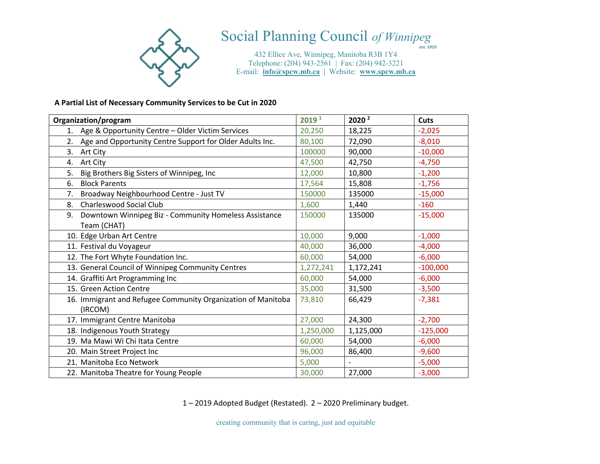

# Social Planning Council *of Winnipeg*

*est. 1919*

432 Ellice Ave, Winnipeg, Manitoba R3B 1Y4 Telephone: (204) 943-2561 | Fax: (204) 942-3221 E-mail: **info@spcw.mb.ca |** Website: **www.spcw.mb.ca**

#### **A Partial List of Necessary Community Services to be Cut in 2020**

| Organization/program                                         | 2019 <sup>1</sup> | 2020 <sup>2</sup> | <b>Cuts</b> |
|--------------------------------------------------------------|-------------------|-------------------|-------------|
| 1. Age & Opportunity Centre - Older Victim Services          | 20,250            | 18,225            | $-2,025$    |
| 2. Age and Opportunity Centre Support for Older Adults Inc.  | 80,100            | 72,090            | $-8,010$    |
| 3.<br>Art City                                               | 100000            | 90,000            | $-10,000$   |
| 4. Art City                                                  | 47,500            | 42,750            | $-4,750$    |
| Big Brothers Big Sisters of Winnipeg, Inc<br>5.              | 12,000            | 10,800            | $-1,200$    |
| <b>Block Parents</b><br>6.                                   | 17,564            | 15,808            | $-1,756$    |
| Broadway Neighbourhood Centre - Just TV<br>7.                | 150000            | 135000            | $-15,000$   |
| Charleswood Social Club<br>8.                                | 1,600             | 1,440             | $-160$      |
| Downtown Winnipeg Biz - Community Homeless Assistance<br>9.  | 150000            | 135000            | $-15,000$   |
| Team (CHAT)                                                  |                   |                   |             |
| 10. Edge Urban Art Centre                                    | 10,000            | 9,000             | $-1,000$    |
| 11. Festival du Voyageur                                     | 40,000            | 36,000            | $-4,000$    |
| 12. The Fort Whyte Foundation Inc.                           | 60,000            | 54,000            | $-6,000$    |
| 13. General Council of Winnipeg Community Centres            | 1,272,241         | 1,172,241         | $-100,000$  |
| 14. Graffiti Art Programming Inc                             | 60,000            | 54,000            | $-6,000$    |
| 15. Green Action Centre                                      | 35,000            | 31,500            | $-3,500$    |
| 16. Immigrant and Refugee Community Organization of Manitoba | 73,810            | 66,429            | $-7,381$    |
| (IRCOM)                                                      |                   |                   |             |
| 17. Immigrant Centre Manitoba                                | 27,000            | 24,300            | $-2,700$    |
| 18. Indigenous Youth Strategy                                | 1,250,000         | 1,125,000         | $-125,000$  |
| 19. Ma Mawi Wi Chi Itata Centre                              | 60,000            | 54,000            | $-6,000$    |
| 20. Main Street Project Inc                                  | 96,000            | 86,400            | $-9,600$    |
| 21. Manitoba Eco Network                                     | 5,000             |                   | $-5,000$    |
| 22. Manitoba Theatre for Young People                        | 30,000            | 27,000            | $-3,000$    |

1 – 2019 Adopted Budget (Restated). 2 – 2020 Preliminary budget.

creating community that is caring, just and equitable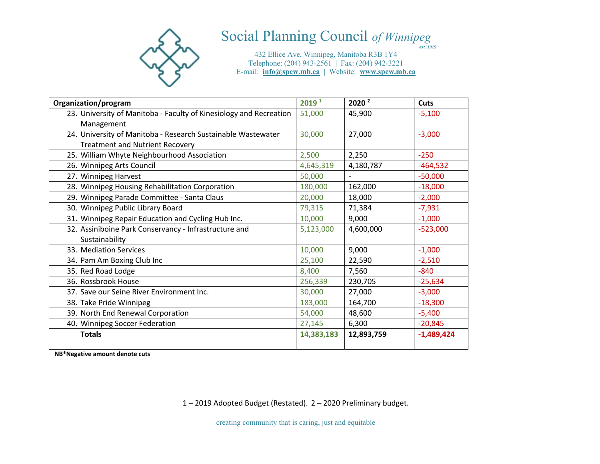

# Social Planning Council *of Winnipegest. 1919*

432 Ellice Ave, Winnipeg, Manitoba R3B 1Y4 Telephone: (204) 943-2561 | Fax: (204) 942-3221 E-mail: **info@spcw.mb.ca |** Website: **www.spcw.mb.ca**

| Organization/program                                               | 2019 <sup>1</sup> | 2020 <sup>2</sup> | Cuts         |
|--------------------------------------------------------------------|-------------------|-------------------|--------------|
| 23. University of Manitoba - Faculty of Kinesiology and Recreation | 51,000            | 45,900            | $-5,100$     |
| Management                                                         |                   |                   |              |
| 24. University of Manitoba - Research Sustainable Wastewater       | 30,000            | 27,000            | $-3,000$     |
| <b>Treatment and Nutrient Recovery</b>                             |                   |                   |              |
| 25. William Whyte Neighbourhood Association                        | 2,500             | 2,250             | $-250$       |
| 26. Winnipeg Arts Council                                          | 4,645,319         | 4,180,787         | $-464,532$   |
| 27. Winnipeg Harvest                                               | 50,000            |                   | $-50,000$    |
| 28. Winnipeg Housing Rehabilitation Corporation                    | 180,000           | 162,000           | $-18,000$    |
| 29. Winnipeg Parade Committee - Santa Claus                        | 20,000            | 18,000            | $-2,000$     |
| 30. Winnipeg Public Library Board                                  | 79,315            | 71,384            | $-7,931$     |
| 31. Winnipeg Repair Education and Cycling Hub Inc.                 | 10,000            | 9,000             | $-1,000$     |
| 32. Assiniboine Park Conservancy - Infrastructure and              | 5,123,000         | 4,600,000         | $-523,000$   |
| Sustainability                                                     |                   |                   |              |
| 33. Mediation Services                                             | 10,000            | 9,000             | $-1,000$     |
| 34. Pam Am Boxing Club Inc                                         | 25,100            | 22,590            | $-2,510$     |
| 35. Red Road Lodge                                                 | 8,400             | 7,560             | $-840$       |
| 36. Rossbrook House                                                | 256,339           | 230,705           | $-25,634$    |
| 37. Save our Seine River Environment Inc.                          | 30,000            | 27,000            | $-3,000$     |
| 38. Take Pride Winnipeg                                            | 183,000           | 164,700           | $-18,300$    |
| 39. North End Renewal Corporation                                  | 54,000            | 48,600            | $-5,400$     |
| 40. Winnipeg Soccer Federation                                     | 27,145            | 6,300             | $-20,845$    |
| <b>Totals</b>                                                      | 14,383,183        | 12,893,759        | $-1,489,424$ |

**NB\*Negative amount denote cuts**

1 – 2019 Adopted Budget (Restated). 2 – 2020 Preliminary budget.

creating community that is caring, just and equitable